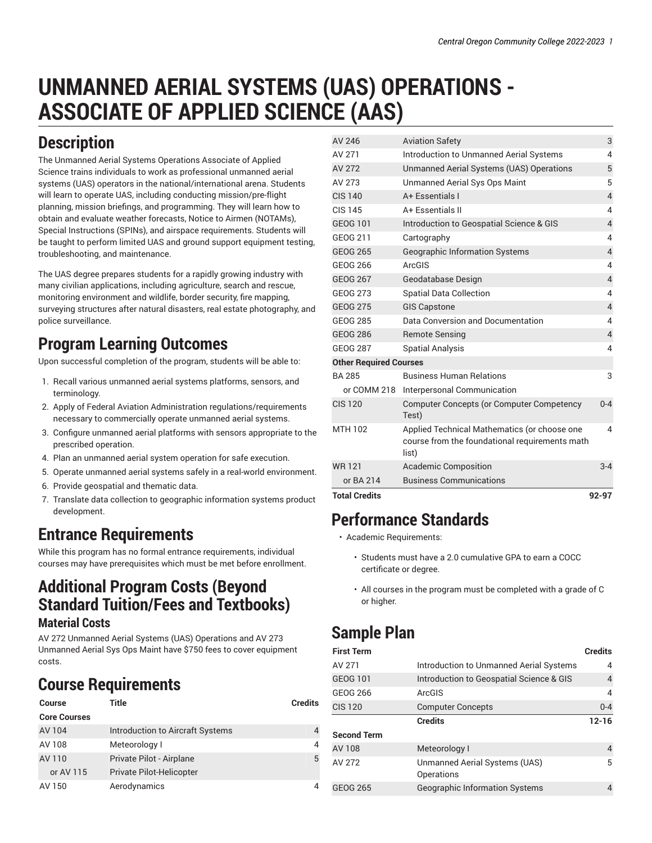# **UNMANNED AERIAL SYSTEMS (UAS) OPERATIONS - ASSOCIATE OF APPLIED SCIENCE (AAS)**

## **Description**

The Unmanned Aerial Systems Operations Associate of Applied Science trains individuals to work as professional unmanned aerial systems (UAS) operators in the national/international arena. Students will learn to operate UAS, including conducting mission/pre-flight planning, mission briefings, and programming. They will learn how to obtain and evaluate weather forecasts, Notice to Airmen (NOTAMs), Special Instructions (SPINs), and airspace requirements. Students will be taught to perform limited UAS and ground support equipment testing, troubleshooting, and maintenance.

The UAS degree prepares students for a rapidly growing industry with many civilian applications, including agriculture, search and rescue, monitoring environment and wildlife, border security, fire mapping, surveying structures after natural disasters, real estate photography, and police surveillance.

# **Program Learning Outcomes**

Upon successful completion of the program, students will be able to:

- 1. Recall various unmanned aerial systems platforms, sensors, and terminology.
- 2. Apply of Federal Aviation Administration regulations/requirements necessary to commercially operate unmanned aerial systems.
- 3. Configure unmanned aerial platforms with sensors appropriate to the prescribed operation.
- 4. Plan an unmanned aerial system operation for safe execution.
- 5. Operate unmanned aerial systems safely in a real-world environment.
- 6. Provide geospatial and thematic data.
- 7. Translate data collection to geographic information systems product development.

#### **Entrance Requirements**

While this program has no formal entrance requirements, individual courses may have prerequisites which must be met before enrollment.

#### **Additional Program Costs (Beyond Standard Tuition/Fees and Textbooks)**

#### **Material Costs**

AV 272 Unmanned Aerial Systems (UAS) Operations and AV 273 Unmanned Aerial Sys Ops Maint have \$750 fees to cover equipment costs.

# **Course Requirements**

| <b>Course</b>       | Title                            | <b>Credits</b>             |
|---------------------|----------------------------------|----------------------------|
| <b>Core Courses</b> |                                  |                            |
| AV 104              | Introduction to Aircraft Systems | $\boldsymbol{\mathcal{A}}$ |
| AV 108              | Meteorology I                    | $\overline{4}$             |
| AV 110              | Private Pilot - Airplane         | 5                          |
| or AV 115           | Private Pilot-Helicopter         |                            |
| AV 150              | Aerodynamics                     | 4                          |

| <b>Total Credits</b>          |                                                                                                         | 92-97          |
|-------------------------------|---------------------------------------------------------------------------------------------------------|----------------|
| or BA 214                     | <b>Business Communications</b>                                                                          |                |
| <b>WR121</b>                  | <b>Academic Composition</b>                                                                             | $3 - 4$        |
| MTH 102                       | Applied Technical Mathematics (or choose one<br>course from the foundational requirements math<br>list) | 4              |
| <b>CIS 120</b>                | Computer Concepts (or Computer Competency<br>Test)                                                      | $0 - 4$        |
| or COMM 218                   | Interpersonal Communication                                                                             |                |
| BA 285                        | <b>Business Human Relations</b>                                                                         | 3              |
| <b>Other Required Courses</b> |                                                                                                         |                |
| <b>GEOG 287</b>               | <b>Spatial Analysis</b>                                                                                 | 4              |
| <b>GEOG 286</b>               | <b>Remote Sensing</b>                                                                                   | $\overline{4}$ |
| <b>GEOG 285</b>               | Data Conversion and Documentation                                                                       | 4              |
| <b>GEOG 275</b>               | <b>GIS Capstone</b>                                                                                     | $\overline{4}$ |
| <b>GEOG 273</b>               | <b>Spatial Data Collection</b>                                                                          | 4              |
| <b>GEOG 267</b>               | Geodatabase Design                                                                                      | $\overline{4}$ |
| GEOG 266                      | ArcGIS                                                                                                  | 4              |
| <b>GEOG 265</b>               | Geographic Information Systems                                                                          | 4              |
| GEOG 211                      | Cartography                                                                                             | 4              |
| <b>GEOG 101</b>               | Introduction to Geospatial Science & GIS                                                                | $\overline{4}$ |
| CIS 145                       | A+ Essentials II                                                                                        | 4              |
| <b>CIS 140</b>                | A+ Essentials I                                                                                         | $\overline{4}$ |
| AV 273                        | <b>Unmanned Aerial Sys Ops Maint</b>                                                                    | 5              |
| AV 272                        | Unmanned Aerial Systems (UAS) Operations                                                                | 5              |
| AV 271                        | <b>Introduction to Unmanned Aerial Systems</b>                                                          | 4              |
| AV 246                        | <b>Aviation Safety</b>                                                                                  | 3              |

### **Performance Standards**

- Academic Requirements:
	- Students must have a 2.0 cumulative GPA to earn a COCC certificate or degree.
	- All courses in the program must be completed with a grade of C or higher.

# **Sample Plan**

| <b>First Term</b>  |                                             | <b>Credits</b> |  |
|--------------------|---------------------------------------------|----------------|--|
| AV 271             | Introduction to Unmanned Aerial Systems     | 4              |  |
| GEOG 101           | Introduction to Geospatial Science & GIS    | 4              |  |
| GEOG 266           | ArcGIS                                      | 4              |  |
| <b>CIS 120</b>     | <b>Computer Concepts</b>                    | $0 - 4$        |  |
|                    | <b>Credits</b>                              | $12 - 16$      |  |
| <b>Second Term</b> |                                             |                |  |
| AV 108             | Meteorology I                               | 4              |  |
| AV 272             | Unmanned Aerial Systems (UAS)<br>Operations | 5              |  |
| <b>GEOG 265</b>    | <b>Geographic Information Systems</b>       |                |  |